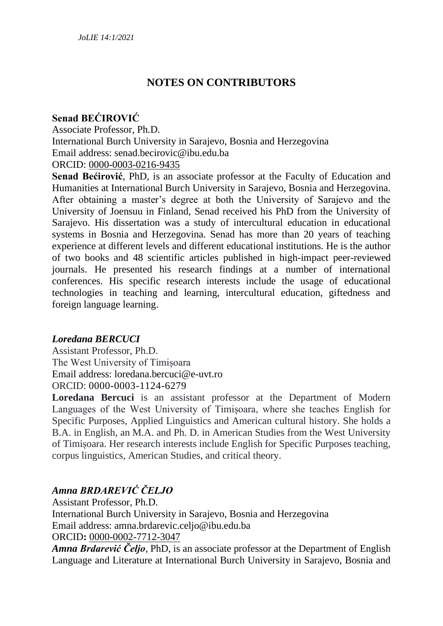# **NOTES ON CONTRIBUTORS**

# **Senad BEĆIROVIĆ**

Associate Professor, Ph.D.

International Burch University in Sarajevo, Bosnia and Herzegovina Email address: senad.becirovic@ibu.edu.ba

#### ORCID: [0000-0003-0216-9435](https://orcid.org/0000-0003-0216-9435)

**Senad Bećirović**, PhD, is an associate professor at the Faculty of Education and Humanities at International Burch University in Sarajevo, Bosnia and Herzegovina. After obtaining a master's degree at both the University of Sarajevo and the University of Joensuu in Finland, Senad received his PhD from the University of Sarajevo. His dissertation was a study of intercultural education in educational systems in Bosnia and Herzegovina. Senad has more than 20 years of teaching experience at different levels and different educational institutions. He is the author of two books and 48 scientific articles published in high-impact peer-reviewed journals. He presented his research findings at a number of international conferences. His specific research interests include the usage of educational technologies in teaching and learning, intercultural education, giftedness and foreign language learning.

#### *Loredana BERCUCI*

Assistant Professor, Ph.D. The West University of Timișoara Email address: loredana.bercuci@e-uvt.ro ORCID: 0000-0003-1124-6279

**Loredana Bercuci** is an assistant professor at the Department of Modern Languages of the West University of Timișoara, where she teaches English for Specific Purposes, Applied Linguistics and American cultural history. She holds a B.A. in English, an M.A. and Ph. D. in American Studies from the West University of Timișoara. Her research interests include English for Specific Purposes teaching, corpus linguistics, American Studies, and critical theory.

# *Amna BRDAREVIĆ ČELJO*

Assistant Professor, Ph.D. International Burch University in Sarajevo, Bosnia and Herzegovina Email address: amna.brdarevic.celjo@ibu.edu.ba ORCID**:** [0000-0002-7712-3047](https://orcid.org/0000-0002-7712-3047)

*Amna Brdarević Čeljo*, PhD, is an associate professor at the Department of English Language and Literature at International Burch University in Sarajevo, Bosnia and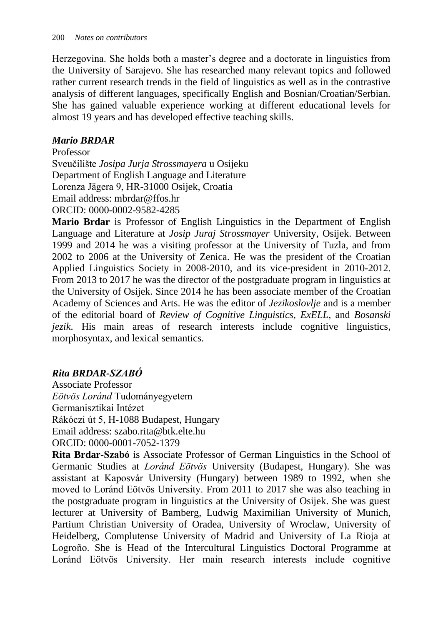Herzegovina. She holds both a master's degree and a doctorate in linguistics from the University of Sarajevo. She has researched many relevant topics and followed rather current research trends in the field of linguistics as well as in the contrastive analysis of different languages, specifically English and Bosnian/Croatian/Serbian. She has gained valuable experience working at different educational levels for almost 19 years and has developed effective teaching skills.

## *Mario BRDAR*

Professor Sveučilište *Josipa Jurja Strossmayera* u Osijeku Department of English Language and Literature Lorenza Jägera 9, HR-31000 Osijek, Croatia Email address: mbrdar@ffos.hr ORCID: 0000-0002-9582-4285

**Mario Brdar** is Professor of English Linguistics in the Department of English Language and Literature at *Josip Juraj Strossmayer* University, Osijek. Between 1999 and 2014 he was a visiting professor at the University of Tuzla, and from 2002 to 2006 at the University of Zenica. He was the president of the Croatian Applied Linguistics Society in 2008-2010, and its vice-president in 2010-2012. From 2013 to 2017 he was the director of the postgraduate program in linguistics at the University of Osijek. Since 2014 he has been associate member of the Croatian Academy of Sciences and Arts. He was the editor of *Jezikoslovlje* and is a member of the editorial board of *Review of Cognitive Linguistics, ExELL*, and *Bosanski jezik*. His main areas of research interests include cognitive linguistics, morphosyntax, and lexical semantics.

# *Rita BRDAR-SZABÓ*

Associate Professor *Eötvös Loránd* Tudományegyetem Germanisztikai Intézet Rákóczi út 5, H-1088 Budapest, Hungary Email address: szabo.rita@btk.elte.hu ORCID: 0000-0001-7052-1379

**Rita Brdar-Szabó** is Associate Professor of German Linguistics in the School of Germanic Studies at *Loránd Eötvös* University (Budapest, Hungary). She was assistant at Kaposvár University (Hungary) between 1989 to 1992, when she moved to Loránd Eötvös University. From 2011 to 2017 she was also teaching in the postgraduate program in linguistics at the University of Osijek. She was guest lecturer at University of Bamberg, Ludwig Maximilian University of Munich, Partium Christian University of Oradea, University of Wroclaw, University of Heidelberg, Complutense University of Madrid and University of La Rioja at Logroño. She is Head of the Intercultural Linguistics Doctoral Programme at Loránd Eötvös University. Her main research interests include cognitive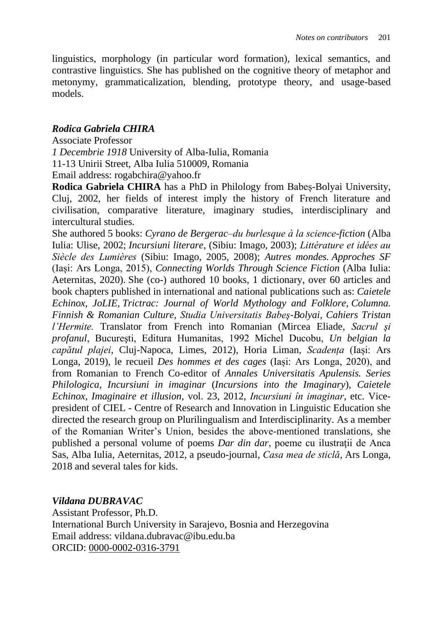linguistics, morphology (in particular word formation), lexical semantics, and contrastive linguistics. She has published on the cognitive theory of metaphor and metonymy, grammaticalization, blending, prototype theory, and usage-based models.

# *Rodica Gabriela CHIRA*

#### Associate Professor

*1 Decembrie 1918* University of Alba-Iulia, Romania

11-13 Unirii Street, Alba Iulia 510009, Romania

Email address: rogabchira@yahoo.fr

**Rodica Gabriela CHIRA** has a PhD in Philology from Babeș-Bolyai University, Cluj, 2002, her fields of interest imply the history of French literature and civilisation, comparative literature, imaginary studies, interdisciplinary and intercultural studies.

She authored 5 books: *Cyrano de Bergerac–du burlesque à la science-fiction* (Alba Iulia: Ulise, 2002; *Incursiuni literare*, (Sibiu: Imago, 2003); *Littérature et idées au Siècle des Lumières* (Sibiu: Imago, 2005, 2008); *Autres mondes. Approches SF* (Iași: Ars Longa, 2015), *Connecting Worlds Through Science Fiction* (Alba Iulia: Aeternitas, 2020). She (co-) authored 10 books, 1 dictionary, over 60 articles and book chapters published in international and national publications such as: *Caietele Echinox, JoLIE*, *Trictrac: Journal of World Mythology and Folklore, Columna. Finnish & Romanian Culture, Studia Universitatis Babeş-Bolyai*, *Cahiers Tristan l'Hermite.* Translator from French into Romanian (Mircea Eliade, *Sacrul şi profanul*, Bucureşti, Editura Humanitas, 1992 Michel Ducobu, *Un belgian la capătul plajei*, Cluj-Napoca, Limes, 2012), Horia Liman, *Scadența* (Iași: Ars Longa, 2019), le recueil *Des hommes et des cages* (Iași: Ars Longa, 2020), and from Romanian to French Co-editor of *Annales Universitatis Apulensis. Series Philologica*, *Incursiuni in imaginar* (*Incursions into the Imaginary*), *Caietele Echinox*, *Imaginaire et illusion*, vol. 23, 2012, *Incursiuni în imaginar*, etc. Vicepresident of CIEL - Centre of Research and Innovation in Linguistic Education she directed the research group on Plurilingualism and Interdisciplinarity. As a member of the Romanian Writer's Union, besides the above-mentioned translations, she published a personal volume of poems *Dar din dar*, poeme cu ilustraţii de Anca Sas, Alba Iulia, Aeternitas, 2012, a pseudo-journal, *Casa mea de sticlă*, Ars Longa, 2018 and several tales for kids.

## *Vildana DUBRAVAC*

Assistant Professor, Ph.D. International Burch University in Sarajevo, Bosnia and Herzegovina Email address: vildana.dubravac@ibu.edu.ba ORCID: [0000-0002-0316-3791](https://orcid.org/0000-0002-0316-3791)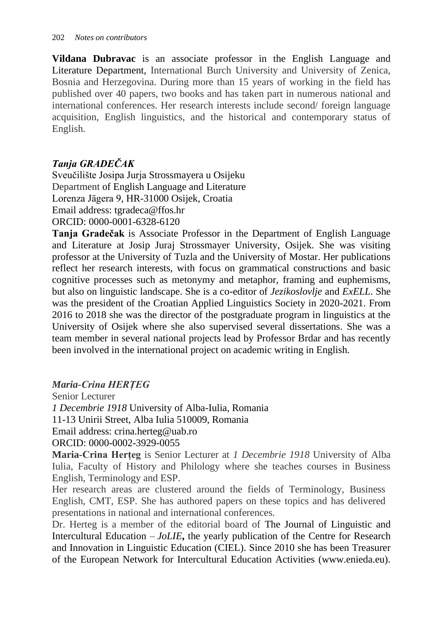**Vildana Dubravac** is an associate professor in the English Language and Literature Department, International Burch University and University of Zenica, Bosnia and Herzegovina. During more than 15 years of working in the field has published over 40 papers, two books and has taken part in numerous national and international conferences. Her research interests include second/ foreign language acquisition, English linguistics, and the historical and contemporary status of English.

# *Tanja GRADEČAK*

Sveučilište Josipa Jurja Strossmayera u Osijeku Department of English Language and Literature Lorenza Jägera 9, HR-31000 Osijek, Croatia Email address: tgradeca@ffos.hr ORCID: 0000-0001-6328-6120

**Tanja Gradečak** is Associate Professor in the Department of English Language and Literature at Josip Juraj Strossmayer University, Osijek. She was visiting professor at the University of Tuzla and the University of Mostar. Her publications reflect her research interests, with focus on grammatical constructions and basic cognitive processes such as metonymy and metaphor, framing and euphemisms, but also on linguistic landscape. She is a co-editor of *Jezikoslovlje* and *ExELL*. She was the president of the Croatian Applied Linguistics Society in 2020-2021. From 2016 to 2018 she was the director of the postgraduate program in linguistics at the University of Osijek where she also supervised several dissertations. She was a team member in several national projects lead by Professor Brdar and has recently been involved in the international project on academic writing in English.

# *Maria-Crina HERȚEG*

Senior Lecturer *1 Decembrie 1918* University of Alba-Iulia, Romania 11-13 Unirii Street, Alba Iulia 510009, Romania Email address: crina.herteg@uab.ro ORCID: 0000-0002-3929-0055

**Maria-Crina Herțeg** is Senior Lecturer at *1 Decembrie 1918* University of Alba Iulia, Faculty of History and Philology where she teaches courses in Business English, Terminology and ESP.

Her research areas are clustered around the fields of Terminology, Business English, CMT, ESP. She has authored papers on these topics and has delivered presentations in national and international conferences.

Dr. Herteg is a member of the editorial board of The Journal of Linguistic and Intercultural Education – *JoLIE***,** the yearly publication of the Centre for Research and Innovation in Linguistic Education (CIEL). Since 2010 she has been Treasurer of the European Network for Intercultural Education Activities (www.enieda.eu).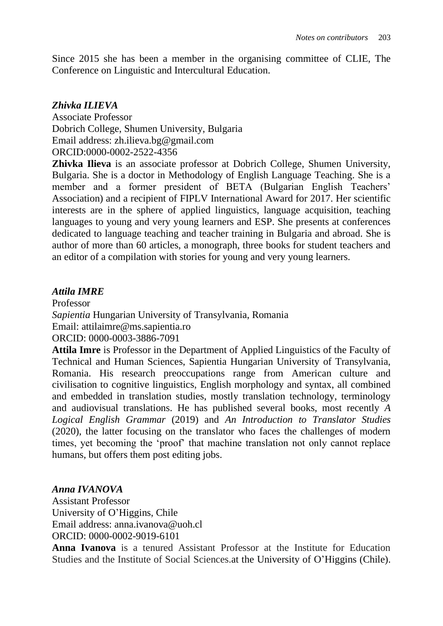Since 2015 she has been a member in the organising committee of CLIE, The Conference on Linguistic and Intercultural Education.

## *Zhivka ILIEVA*

Associate Professor Dobrich College, Shumen University, Bulgaria Email address: zh.ilieva.bg@gmail.com ORCID:0000-0002-2522-4356

**Zhivka Ilieva** is an associate professor at Dobrich College, Shumen University, Bulgaria. She is a doctor in Methodology of English Language Teaching. She is a member and a former president of BETA (Bulgarian English Teachers' Association) and a recipient of FIPLV International Award for 2017. Her scientific interests are in the sphere of applied linguistics, language acquisition, teaching languages to young and very young learners and ESP. She presents at conferences dedicated to language teaching and teacher training in Bulgaria and abroad. She is author of more than 60 articles, a monograph, three books for student teachers and an editor of a compilation with stories for young and very young learners.

## *Attila IMRE*

Professor *Sapientia* Hungarian University of Transylvania, Romania Email: attilaimre@ms.sapientia.ro ORCID: 0000-0003-3886-7091

**Attila Imre** is Professor in the Department of Applied Linguistics of the Faculty of Technical and Human Sciences, Sapientia Hungarian University of Transylvania, Romania. His research preoccupations range from American culture and civilisation to cognitive linguistics, English morphology and syntax, all combined and embedded in translation studies, mostly translation technology, terminology and audiovisual translations. He has published several books, most recently *A Logical English Grammar* (2019) and *An Introduction to Translator Studies* (2020), the latter focusing on the translator who faces the challenges of modern times, yet becoming the 'proof' that machine translation not only cannot replace humans, but offers them post editing jobs.

## *Anna IVANOVA*

Assistant Professor University of O'Higgins, Chile Email address: anna.ivanova@uoh.cl ORCID: 0000-0002-9019-6101

**Anna Ivanova** is a tenured Assistant Professor at the Institute for Education Studies and the Institute of Social Sciences.at the University of O'Higgins (Chile).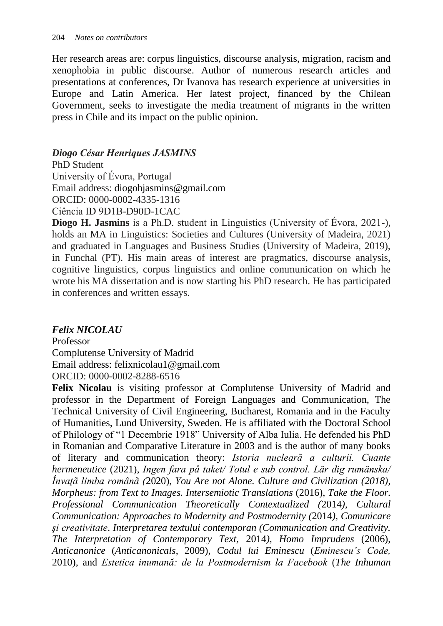Her research areas are: corpus linguistics, discourse analysis, migration, racism and xenophobia in public discourse. Author of numerous research articles and presentations at conferences, Dr Ivanova has research experience at universities in Europe and Latin America. Her latest project, financed by the Chilean Government, seeks to investigate the media treatment of migrants in the written press in Chile and its impact on the public opinion.

## *Diogo César Henriques JASMINS*

PhD Student University of Évora, Portugal Email address: diogohjasmins@gmail.com ORCID: 0000-0002-4335-1316 Ciência ID 9D1B-D90D-1CAC

**Diogo H. Jasmins** is a Ph.D. student in Linguistics (University of Évora, 2021-), holds an MA in Linguistics: Societies and Cultures (University of Madeira, 2021) and graduated in Languages and Business Studies (University of Madeira, 2019), in Funchal (PT). His main areas of interest are pragmatics, discourse analysis, cognitive linguistics, corpus linguistics and online communication on which he wrote his MA dissertation and is now starting his PhD research. He has participated in conferences and written essays.

## *Felix NICOLAU*

Professor Complutense University of Madrid Email address: felixnicolau1@gmail.com ORCID: 0000-0002-8288-6516

**Felix Nicolau** is visiting professor at Complutense University of Madrid and professor in the Department of Foreign Languages and Communication, The Technical University of Civil Engineering, Bucharest, Romania and in the Faculty of Humanities, Lund University, Sweden. He is affiliated with the Doctoral School of Philology of "1 Decembrie 1918" University of Alba Iulia. He defended his PhD in Romanian and Comparative Literature in 2003 and is the author of many books of literary and communication theory: *Istoria nucleară a culturii. Cuante hermeneutice* (2021), *Ingen fara på taket/ Totul e sub control. Lär dig rumänska/ Învaţã limba românã (*2020), *You Are not Alone. Culture and Civilization (2018), Morpheus: from Text to Images. Intersemiotic Translations* (2016), *Take the Floor. Professional Communication Theoretically Contextualized (*2014*), Cultural Communication: Approaches to Modernity and Postmodernity (*2014*), Comunicare şi creativitate*. *Interpretarea textului contemporan (Communication and Creativity. The Interpretation of Contemporary Text,* 2014*), Homo Imprudens* (2006), *Anticanonice* (*Anticanonicals*, 2009), *Codul lui Eminescu* (*Eminescu's Code,* 2010), and *Estetica inumană: de la Postmodernism la Facebook* (*The Inhuman*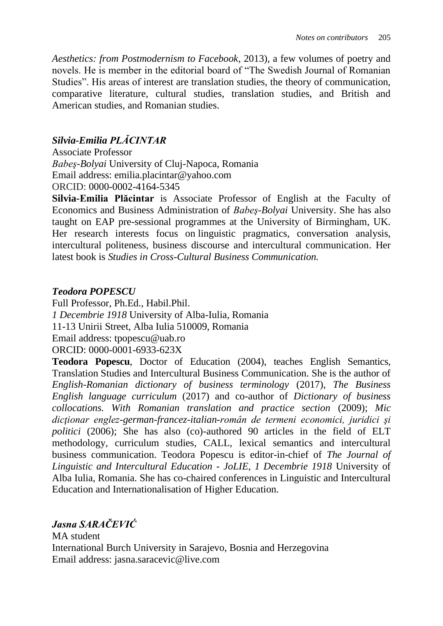*Aesthetics: from Postmodernism to Facebook*, 2013), a few volumes of poetry and novels. He is member in the editorial board of "The Swedish Journal of Romanian Studies". His areas of interest are translation studies, the theory of communication, comparative literature, cultural studies, translation studies, and British and American studies, and Romanian studies.

# *Silvia-Emilia PLĂCINTAR*

Associate Professor *Babeş-Bolyai* University of Cluj-Napoca, Romania Email address: emilia.placintar@yahoo.com ORCID: 0000-0002-4164-5345

**Silvia-Emilia Plăcintar** is Associate Professor of English at the Faculty of Economics and Business Administration of *Babeş-Bolyai* University. She has also taught on EAP pre-sessional programmes at the University of Birmingham, UK. Her research interests focus on linguistic pragmatics, conversation analysis, intercultural politeness, business discourse and intercultural communication. Her latest book is *Studies in Cross-Cultural Business Communication.*

## *Teodora POPESCU*

Full Professor, Ph.Ed., Habil.Phil. *1 Decembrie 1918* University of Alba-Iulia, Romania 11-13 Unirii Street, Alba Iulia 510009, Romania Email address: tpopescu@uab.ro ORCID: 0000-0001-6933-623X

**Teodora Popescu**, Doctor of Education (2004), teaches English Semantics, Translation Studies and Intercultural Business Communication. She is the author of *English-Romanian dictionary of business terminology* (2017), *The Business English language curriculum* (2017) and co-author of *Dictionary of business collocations. With Romanian translation and practice section* (2009); *Mic dicţionar englez-german-francez-italian-român de termeni economici, juridici şi politici* (2006); She has also (co)-authored 90 articles in the field of ELT methodology, curriculum studies, CALL, lexical semantics and intercultural business communication. Teodora Popescu is editor-in-chief of *The Journal of Linguistic and Intercultural Education - JoLIE*, *1 Decembrie 1918* University of Alba Iulia, Romania. She has co-chaired conferences in Linguistic and Intercultural Education and Internationalisation of Higher Education.

# *Jasna SARAČEVIĆ*

MA student International Burch University in Sarajevo, Bosnia and Herzegovina Email address: jasna.saracevic@live.com